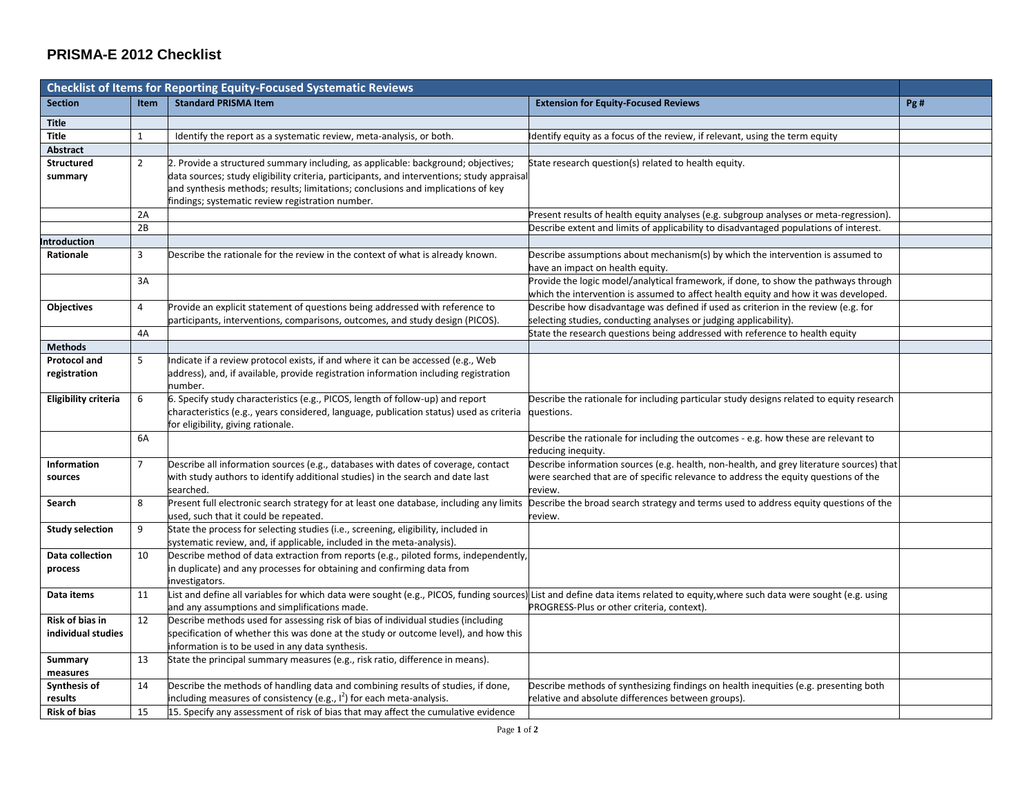## **PRISMA-E 2012 Checklist**

| <b>Checklist of Items for Reporting Equity-Focused Systematic Reviews</b> |                |                                                                                                                                                              |                                                                                                                                                                              |     |
|---------------------------------------------------------------------------|----------------|--------------------------------------------------------------------------------------------------------------------------------------------------------------|------------------------------------------------------------------------------------------------------------------------------------------------------------------------------|-----|
| <b>Section</b>                                                            | Item           | <b>Standard PRISMA Item</b>                                                                                                                                  | <b>Extension for Equity-Focused Reviews</b>                                                                                                                                  | Pg# |
| <b>Title</b>                                                              |                |                                                                                                                                                              |                                                                                                                                                                              |     |
| <b>Title</b>                                                              | $\mathbf{1}$   | Identify the report as a systematic review, meta-analysis, or both.                                                                                          | dentify equity as a focus of the review, if relevant, using the term equity                                                                                                  |     |
| Abstract                                                                  |                |                                                                                                                                                              |                                                                                                                                                                              |     |
| <b>Structured</b>                                                         | $\overline{2}$ | 2. Provide a structured summary including, as applicable: background; objectives;                                                                            | State research question(s) related to health equity.                                                                                                                         |     |
| summary                                                                   |                | data sources; study eligibility criteria, participants, and interventions; study appraisal                                                                   |                                                                                                                                                                              |     |
|                                                                           |                | and synthesis methods; results; limitations; conclusions and implications of key                                                                             |                                                                                                                                                                              |     |
|                                                                           |                | indings; systematic review registration number.                                                                                                              |                                                                                                                                                                              |     |
|                                                                           | 2A             |                                                                                                                                                              | Present results of health equity analyses (e.g. subgroup analyses or meta-regression).                                                                                       |     |
|                                                                           | 2B             |                                                                                                                                                              | Describe extent and limits of applicability to disadvantaged populations of interest.                                                                                        |     |
| <b>Introduction</b>                                                       |                |                                                                                                                                                              |                                                                                                                                                                              |     |
| Rationale                                                                 | 3              | Describe the rationale for the review in the context of what is already known.                                                                               | Describe assumptions about mechanism(s) by which the intervention is assumed to<br>nave an impact on health equity.                                                          |     |
|                                                                           | 3A             |                                                                                                                                                              | Provide the logic model/analytical framework, if done, to show the pathways through                                                                                          |     |
|                                                                           |                |                                                                                                                                                              | which the intervention is assumed to affect health equity and how it was developed.                                                                                          |     |
| Objectives                                                                | $\overline{4}$ | Provide an explicit statement of questions being addressed with reference to                                                                                 | Describe how disadvantage was defined if used as criterion in the review (e.g. for                                                                                           |     |
|                                                                           |                | articipants, interventions, comparisons, outcomes, and study design (PICOS).                                                                                 | selecting studies, conducting analyses or judging applicability).                                                                                                            |     |
|                                                                           | 4A             |                                                                                                                                                              | State the research questions being addressed with reference to health equity                                                                                                 |     |
| <b>Methods</b>                                                            |                |                                                                                                                                                              |                                                                                                                                                                              |     |
| <b>Protocol and</b>                                                       | 5              | Indicate if a review protocol exists, if and where it can be accessed (e.g., Web                                                                             |                                                                                                                                                                              |     |
| registration                                                              |                | address), and, if available, provide registration information including registration<br>าumber.                                                              |                                                                                                                                                                              |     |
| <b>Eligibility criteria</b>                                               | 6              | 6. Specify study characteristics (e.g., PICOS, length of follow-up) and report                                                                               | Describe the rationale for including particular study designs related to equity research                                                                                     |     |
|                                                                           |                | characteristics (e.g., years considered, language, publication status) used as criteria                                                                      | questions.                                                                                                                                                                   |     |
|                                                                           |                | or eligibility, giving rationale.                                                                                                                            |                                                                                                                                                                              |     |
|                                                                           | 6A             |                                                                                                                                                              | Describe the rationale for including the outcomes - e.g. how these are relevant to                                                                                           |     |
|                                                                           |                |                                                                                                                                                              | reducing inequity.                                                                                                                                                           |     |
| Information                                                               | $\overline{7}$ | Describe all information sources (e.g., databases with dates of coverage, contact                                                                            | Describe information sources (e.g. health, non-health, and grey literature sources) that                                                                                     |     |
| sources                                                                   |                | with study authors to identify additional studies) in the search and date last                                                                               | were searched that are of specific relevance to address the equity questions of the                                                                                          |     |
|                                                                           |                | searched.                                                                                                                                                    | review.                                                                                                                                                                      |     |
| Search                                                                    | 8              | Present full electronic search strategy for at least one database, including any limits                                                                      | Describe the broad search strategy and terms used to address equity questions of the                                                                                         |     |
| <b>Study selection</b>                                                    | 9              | sed, such that it could be repeated.<br>State the process for selecting studies (i.e., screening, eligibility, included in                                   | review.                                                                                                                                                                      |     |
|                                                                           |                | systematic review, and, if applicable, included in the meta-analysis).                                                                                       |                                                                                                                                                                              |     |
| Data collection                                                           | 10             | Describe method of data extraction from reports (e.g., piloted forms, independently,                                                                         |                                                                                                                                                                              |     |
| process                                                                   |                | in duplicate) and any processes for obtaining and confirming data from                                                                                       |                                                                                                                                                                              |     |
|                                                                           |                | nvestigators.                                                                                                                                                |                                                                                                                                                                              |     |
| Data items                                                                | 11             |                                                                                                                                                              | ist and define all variables for which data were sought (e.g., PICOS, funding sources) List and define data items related to equity, where such data were sought (e.g. using |     |
|                                                                           |                | ind any assumptions and simplifications made.                                                                                                                | PROGRESS-Plus or other criteria, context).                                                                                                                                   |     |
| Risk of bias in                                                           | 12             | Describe methods used for assessing risk of bias of individual studies (including                                                                            |                                                                                                                                                                              |     |
| individual studies                                                        |                | pecification of whether this was done at the study or outcome level), and how this                                                                           |                                                                                                                                                                              |     |
|                                                                           |                | nformation is to be used in any data synthesis.                                                                                                              |                                                                                                                                                                              |     |
| Summary                                                                   | 13             | State the principal summary measures (e.g., risk ratio, difference in means).                                                                                |                                                                                                                                                                              |     |
| measures                                                                  |                |                                                                                                                                                              |                                                                                                                                                                              |     |
| Synthesis of<br>results                                                   | 14             | Describe the methods of handling data and combining results of studies, if done,<br>including measures of consistency (e.g., $I^2$ ) for each meta-analysis. | Describe methods of synthesizing findings on health inequities (e.g. presenting both                                                                                         |     |
| <b>Risk of bias</b>                                                       | 15             | 15. Specify any assessment of risk of bias that may affect the cumulative evidence                                                                           | relative and absolute differences between groups).                                                                                                                           |     |
|                                                                           |                |                                                                                                                                                              |                                                                                                                                                                              |     |